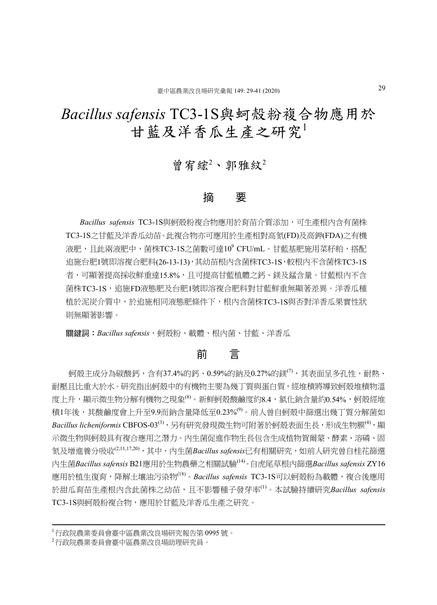# *Bacillus safensis* TC3-1S與蚵殼粉複合物應用於 甘藍及洋香瓜生產之研究

## 曾宥綋 $2$ 、郭雅紋 $2$

### 摘 要

*Bacillus safensis* TC3-1S與蚵殼粉複合物應用於育苗介質添加,可生產根內含有菌株 TC3-1S之甘藍及洋香瓜幼苗。此複合物亦可應用於生產相對高氮(FD)及高鉀(FDA)之有機 液肥,且此兩液肥中,菌株TC3-1S之菌數可達10<sup>9</sup> CFU/mL。甘藍基肥施用菜籽粕,搭配 追施台肥1號即溶複合肥料(26-13-13),其幼苗根内含菌株TC3-1S,較根內不含菌株TC3-1S 者,可顯著提高採收鮮重達15.8%,且可提高甘藍植體之鈣、鎂及錳含量。甘藍根內不含 菌株TC3-1S,追施FD液態肥及台肥1號即溶複合肥料對甘藍鮮重無顯著差異。洋香瓜種 植於泥炭介質中,於追施相同液態肥條件下,根內含菌株TC3-1S與否對洋香瓜果實性狀 則無顯著影響。

關鍵詞:*Bacillus safensis*、蚵殼粉、載體、根內菌、甘藍、洋香瓜

## 前 言

 $\overline{w}$ 殼主成分為碳酸鈣,含有37.4%的鈣、0.59%的鈉及0.27%的鎂 $^{(7)}$ ,其表面呈多孔性,耐熱、 耐壓且比重大於水。研究指出蚵殼中的有機物主要為幾丁質與蛋白質,經堆積將導致蚵殼堆積物溫 度上升,顯示微生物分解有機物之現象<sup>(8)</sup>。新鮮蚵殼酸鹼度約8.4,氯化鈉含量約0.54%,蚵殼經堆 積1年後,其酸鹼度會上升至9.9而鈉含量降低至0.23%<sup>(9)</sup>。前人曾自蚵殼中篩選出幾丁質分解菌如 *Bacillus licheniformis* CBFOS-03(3),另有研究發現微生物可附著於蚵殼表面生長,形成生物膜(4),顯 示微生物與蚵殼具有複合應用之潛力。內生菌促進作物生長包含生成植物賀爾蒙、酵素、溶磷、固 氮及增進養分吸收(2,11,17,20),其中,內生菌*Bacillus safensis*已有相關研究,如前人研究曾自桂花篩選 內生菌*Bacillus safensis* B21應用於生物農藥之相關試驗(14)。自虎尾草根內篩選*Bacillus safensis* ZY16 應用於植生復育,降解土壤油污染物<sup>(18)</sup>。*Bacillus safensis* TC3-1S可以蚵殼粉為載體,複合後應用 於甜瓜育苗生產根內含此菌株之幼苗,且不影響種子發芽率(1)。本試驗持續研究*Bacillus safensis* TC3-1S與蚵殼粉複合物,應用於甘藍及洋香瓜生產之研究。

<sup>1</sup>行政院農業委員會臺中區農業改良場研究報告第 0995 號。

<sup>2</sup>行政院農業委員會臺中區農業改良場助理研究員。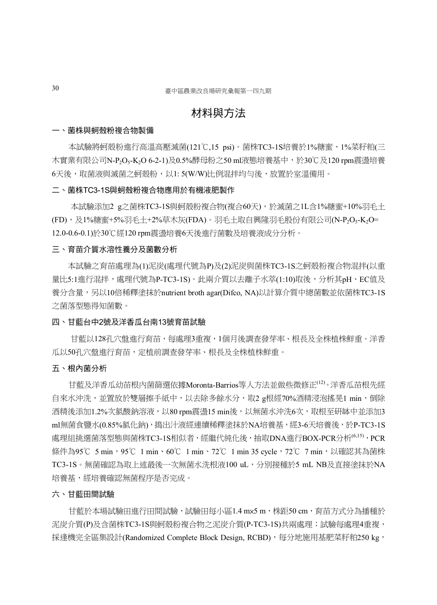## 材料與方法

#### 一、菌株與蚵殼粉複合物製備

本試驗將蚵殼粉進行高溫高壓滅菌(121℃,15 psi)。菌株TC3-1S培養於1%糖蜜、1%菜籽粕(三 木實業有限公司N-P2O5-K2O 6-2-1)及0.5%酵母粉之50 ml液態培養基中,於30℃及120 rpm震盪培養 6天後,取菌液與滅菌之蚵殼粉,以1: 5(W/W)比例混拌均勻後,放置於室溫備用。

#### 二、菌株TC3-1S與蚵殼粉複合物應用於有機液肥製作

本試驗添加2 g之菌株TC3-1S與蚵殼粉複合物(複合60天),於滅菌之1L含1%糖蜜+10%羽毛土 (FD),及1%糖蜜+5%羽毛土+2%草木灰(FDA)。羽毛土取自興隆羽毛股份有限公司(N-P2O5-K2O= 12.0-0.6-0.1)於30℃經120 rpm震盪培養6天後進行菌數及培養液成分分析。

#### 三、育苗介質水溶性養分及菌數分析

本試驗之育苗處理為(1)泥炭(處理代號為P)及(2)泥炭與菌株TC3-1S之蚵殼粉複合物混拌(以重 量比5:1進行混拌,處理代號為P-TC3-1S)。此兩介質以去離子水萃(1:10)取後,分析其pH、EC值及 養分含量,另以10倍稀釋塗抹於nutrient broth agar(Difco, NA)以計算介質中總菌數並依菌株TC3-1S 之菌落型態得知菌數。

#### 四、甘藍台中2號及洋香瓜台南13號育苗試驗

甘藍以128孔穴盤進行育苗,每處理3重複,1個月後調查發芽率、根長及全株植株鮮重。洋香 瓜以50孔穴盤進行育苗,定植前調查發芽率、根長及全株植株鮮重。

#### 五、根內菌分析

甘藍及洋香瓜幼苗根內菌篩選依據Moronta-Barrios等人方法並做些微修正(12)。洋香瓜苗根先經 自來水沖洗,並置放於雙層擦手紙中,以去除多餘水分,取2 g根經70%酒精浸泡搖晃1 min,倒除 酒精後添加1.2%次氯酸鈉溶液,以80 rpm震盪15 min後,以無菌水沖洗6次,取根至研缽中並添加3 ml無菌食鹽水(0.85%氯化鈉),搗出汁液經連續稀釋塗抹於NA培養基,經3-6天培養後,於P-TC3-1S 處理組挑選菌落型態與菌株TC3-1S相似者,經繼代純化後,抽取DNA進行BOX-PCR分析<sup>(6,15)</sup>, PCR 條件為95℃ 5 min,95℃ 1 min、60℃ 1 min、72℃ 1 min 35 cycle,72℃ 7 min,以確認其為菌株 TC3-1S。無菌確認為取上述最後一次無菌水洗根液100 uL,分別接種於5 mL NB及直接塗抹於NA 培養基,經培養確認無菌程序是否完成。

#### 六、甘藍田間試驗

甘藍於本場試驗田進行田間試驗,試驗田每小區1.4 mx5 m,株距50 cm,育苗方式分為播種於 泥炭介質(P)及含菌株TC3-1S與蚵殼粉複合物之泥炭介質(P-TC3-1S)共兩處理;試驗每處理4重複, 採逢機完全區集設計(Randomized Complete Block Design, RCBD),每分地施用基肥菜籽粕250 kg,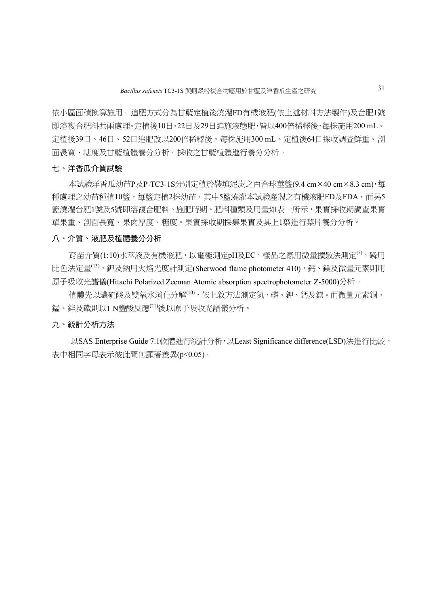依小區面積換算施用。追肥方式分為甘藍定植後澆灌FD有機液肥(依上述材料方法製作)及台肥1號 即溶複合肥料共兩處理。定植後10日、22日及29日追施液態肥,皆以400倍稀釋後,每株施用200 mL。 定植後39日、46日、52日追肥改以200倍稀釋後,每株施用300 mL。定植後64日採收調查鮮重、剖 面長寬、糖度及甘藍植體養分分析。採收之甘藍植體進行養分分析。

#### 七、洋香瓜介質試驗

本試驗洋香瓜幼苗P及P-TC3-1S分別定植於裝填泥炭之百合球莖籃(9.4 cm×40 cm×8.3 cm),每 種處理之幼苗種植10籃,每籃定植2株幼苗,其中5籃澆灌本試驗產製之有機液肥FD及FDA,而另5 籃澆灌台肥1號及5號即溶複合肥料。施肥時期、肥料種類及用量如表一所示,果實採收期調查果實 單果重、剖面長寬、果肉厚度、糖度。果實採收期採集果實及其上1葉進行葉片養分分析。

#### 八、介質、液肥及植體養分分析

育苗介質(1:10)水萃液及有機液肥,以電極測定pH及EC,樣品之氮用微量擴散法測定<sup>(5)</sup>,磷用 比色法定量(13), 鉀及鈉用火焰光度計測定(Sherwood flame photometer 410), 鈣、鎂及微量元素則用 原子吸收光譜儀(Hitachi Polarized Zeeman Atomic absorption spectrophotometer Z-5000)分析。

植體先以濃硫酸及雙氧水消化分解(10),依上敘方法測定氮、磷、鉀、鈣及鎂。而微量元素銅、 錳、鋅及鐵則以1 N鹽酸反應(21)後以原子吸收光譜儀分析。

#### 九、統計分析方法

以SAS Enterprise Guide 7.1軟體進行統計分析,以Least Significance difference(LSD)法進行比較, 表中相同字母表示彼此間無顯著差異(p<0.05)。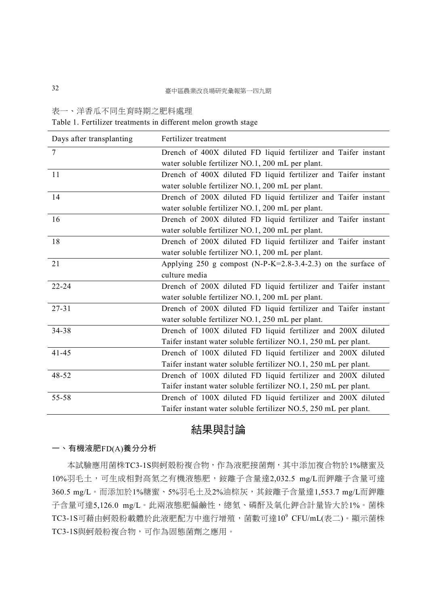表一、洋香瓜不同生育時期之肥料處理

Table 1. Fertilizer treatments in different melon growth stage

| Days after transplanting | Fertilizer treatment                                            |
|--------------------------|-----------------------------------------------------------------|
| $\tau$                   | Drench of 400X diluted FD liquid fertilizer and Taifer instant  |
|                          | water soluble fertilizer NO.1, 200 mL per plant.                |
| 11                       | Drench of 400X diluted FD liquid fertilizer and Taifer instant  |
|                          | water soluble fertilizer NO.1, 200 mL per plant.                |
| 14                       | Drench of 200X diluted FD liquid fertilizer and Taifer instant  |
|                          | water soluble fertilizer NO.1, 200 mL per plant.                |
| 16                       | Drench of 200X diluted FD liquid fertilizer and Taifer instant  |
|                          | water soluble fertilizer NO.1, 200 mL per plant.                |
| 18                       | Drench of 200X diluted FD liquid fertilizer and Taifer instant  |
|                          | water soluble fertilizer NO.1, 200 mL per plant.                |
| 21                       | Applying 250 g compost (N-P-K=2.8-3.4-2.3) on the surface of    |
|                          | culture media                                                   |
| $22 - 24$                | Drench of 200X diluted FD liquid fertilizer and Taifer instant  |
|                          | water soluble fertilizer NO.1, 200 mL per plant.                |
| $27 - 31$                | Drench of 200X diluted FD liquid fertilizer and Taifer instant  |
|                          | water soluble fertilizer NO.1, 250 mL per plant.                |
| 34-38                    | Drench of 100X diluted FD liquid fertilizer and 200X diluted    |
|                          | Taifer instant water soluble fertilizer NO.1, 250 mL per plant. |
| $41 - 45$                | Drench of 100X diluted FD liquid fertilizer and 200X diluted    |
|                          | Taifer instant water soluble fertilizer NO.1, 250 mL per plant. |
| 48-52                    | Drench of 100X diluted FD liquid fertilizer and 200X diluted    |
|                          | Taifer instant water soluble fertilizer NO.1, 250 mL per plant. |
| 55-58                    | Drench of 100X diluted FD liquid fertilizer and 200X diluted    |
|                          | Taifer instant water soluble fertilizer NO.5, 250 mL per plant. |

## 結果與討論

#### 一、有機液肥FD(A)養分分析

本試驗應用菌株TC3-1S與蚵殼粉複合物,作為液肥接菌劑,其中添加複合物於1%糖蜜及 10%羽毛土,可生成相對高氮之有機液態肥,銨離子含量達2,032.5 mg/L而鉀離子含量可達 360.5 mg/L。而添加於1%糖蜜、5%羽毛土及2%油棕灰,其銨離子含量達1,553.7 mg/L而鉀離 子含量可達5,126.0 mg/L。此兩液態肥偏鹼性,總氮、磷酐及氧化鉀合計量皆大於1%。菌株 TC3-1S可藉由蚵殼粉載體於此液肥配方中進行增殖,菌數可達10° CFU/mL(表二)。顯示菌株 TC3-1S與蚵殼粉複合物,可作為固態菌劑之應用。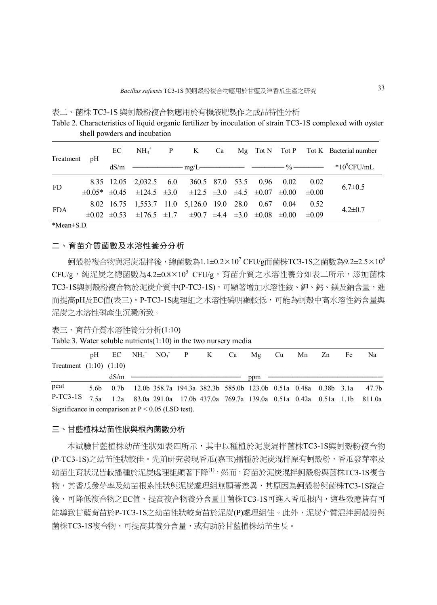| Table 2. Characteristics of liquid organic fertilizer by inoculation of strain TC3-1S complexed with oyster |                              |  |                                         |  |  |                                                                                                        |  |
|-------------------------------------------------------------------------------------------------------------|------------------------------|--|-----------------------------------------|--|--|--------------------------------------------------------------------------------------------------------|--|
|                                                                                                             | shell powders and incubation |  |                                         |  |  |                                                                                                        |  |
|                                                                                                             | $NII$ $^+$                   |  | $\Gamma$ <sup><math>\Omega</math></sup> |  |  | $M_{\alpha}$ $T_{\alpha}$ $N$ $T_{\alpha}$ $D$ $T_{\alpha}$ $V$ $D_{\alpha}$ $D_{\alpha}$ $D_{\alpha}$ |  |

表二、菌株 TC3-1S 與蚵殼粉複合物應用於有機液肥製作之成品特性分析

| Treatment pH |  |                                                                                                               |  |  |  | $EC$ $NH_4^+$ P K Ca Mg Tot N Tot P Tot K Bacterial number                                                         |
|--------------|--|---------------------------------------------------------------------------------------------------------------|--|--|--|--------------------------------------------------------------------------------------------------------------------|
|              |  |                                                                                                               |  |  |  | $dS/m$ $\longrightarrow$ $mg/L$ $\longrightarrow$ $\longrightarrow$ $\%$ $\longrightarrow$ $\approx$ $10^9$ CFU/mL |
| <b>FD</b>    |  | 8.35 12.05 2,032.5 6.0 360.5 87.0 53.5 0.96 0.02 0.02                                                         |  |  |  | $6.7 \pm 0.5$                                                                                                      |
|              |  | $\pm 0.05^*$ $\pm 0.45$ $\pm 124.5$ $\pm 3.0$ $\pm 12.5$ $\pm 3.0$ $\pm 4.5$ $\pm 0.07$ $\pm 0.00$ $\pm 0.00$ |  |  |  |                                                                                                                    |
| <b>FDA</b>   |  | 8.02 16.75 1,553.7 11.0 5,126.0 19.0 28.0 0.67 0.04 0.52                                                      |  |  |  | $4.2 \pm 0.7$                                                                                                      |
|              |  | $\pm 0.02$ $\pm 0.53$ $\pm 176.5$ $\pm 1.7$ $\pm 90.7$ $\pm 4.4$ $\pm 3.0$ $\pm 0.08$ $\pm 0.00$ $\pm 0.09$   |  |  |  |                                                                                                                    |
|              |  |                                                                                                               |  |  |  |                                                                                                                    |

\*Mean±S.D.

#### 二、育苗介質菌數及水溶性養分分析

蚵殼粉複合物與泥炭混拌後,總菌數為1.1±0.2×10<sup>7</sup> CFU/g而菌株TC3-1S之菌數為9.2±2.5×10<sup>6</sup>  $CFU/g$ ,純泥炭之總菌數為4.2±0.8×10<sup>5</sup>  $CFU/g$ 。育苗介質之水溶性養分如表二所示,添加菌株 TC3-1S與蚵殼粉複合物於泥炭介質中(P-TC3-1S),可顯著增加水溶性銨、鉀、鈣、鎂及鈉含量,進 而提高pH及EC值(表三)。P-TC3-1S處理組之水溶性磷明顯較低,可能為蚵殼中高水溶性鈣含量與 泥炭之水溶性磷產生沉澱所致。

Table 3. Water soluble nutrients(1:10) in the two nursery media

|                                                                                          |      |  |  | pH EC $NH_4^+$ NO <sub>3</sub> P K Ca Mg Cu Mn Zn Fe                            |  |  | Na |
|------------------------------------------------------------------------------------------|------|--|--|---------------------------------------------------------------------------------|--|--|----|
| Treatment $(1:10)$ $(1:10)$                                                              |      |  |  |                                                                                 |  |  |    |
|                                                                                          | dS/m |  |  | ppm                                                                             |  |  |    |
| peat                                                                                     |      |  |  | 5.6b 0.7b 12.0b 358.7a 194.3a 382.3b 585.0b 123.0b 0.51a 0.48a 0.38b 3.1a 47.7b |  |  |    |
| P-TC3-1S 7.5a 1.2a 83.0a 291.0a 17.0b 437.0a 769.7a 139.0a 0.51a 0.42a 0.51a 1.1b 811.0a |      |  |  |                                                                                 |  |  |    |
| Significance in comparison at $P < 0.05$ (I SD test)                                     |      |  |  |                                                                                 |  |  |    |

arison at P  $\leq$  0.05 (LSD te

#### 三、甘藍植株幼苗性狀與根內菌數分析

本試驗甘藍植株幼苗性狀如表四所示,其中以種植於泥炭混拌菌株TC3-1S與蚵殼粉複合物 (P-TC3-1S)之幼苗性狀較佳。先前研究發現香瓜(嘉玉)播種於泥炭混拌原有蚵殼粉,香瓜發芽率及 幼苗生育狀況皆較播種於泥炭處理組顯著下降<sup>(1)</sup>,然而,育苗於泥炭混拌蚵殼粉與菌株TC3-1S複合 物,其香瓜發芽率及幼苗根系性狀與泥炭處理組無顯著差異,其原因為蚵殼粉與菌株TC3-1S複合 後,可降低複合物之EC值、提高複合物養分含量且菌株TC3-1S可進入香瓜根內,這些效應皆有可 能導致甘藍育苗於P-TC3-IS之幼苗性狀較育苗於泥炭(P)處理組佳。此外,泥炭介質混拌蚵殼粉與 菌株TC3-1S複合物,可提高其養分含量,或有助於甘藍植株幼苗生長。

表三、育苗介質水溶性養分分析(1:10)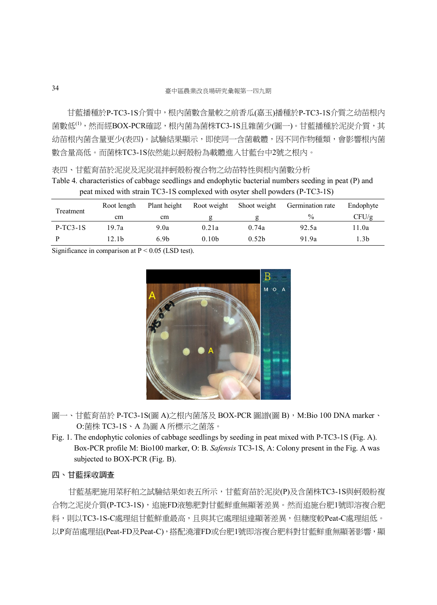甘藍播種於P-TC3-1S介質中,根內菌數含量較之前香瓜(嘉玉)播種於P-TC3-1S介質之幼苗根內 菌數低<sup>(1)</sup>,然而經BOX-PCR確認,根内菌為菌株TC3-1S且雜菌少(圖一)。甘藍播種於泥炭介質,其 幼苗根内菌含量更少(表四)。試驗結果顯示,即使同一含菌載體,因不同作物種類,會影響根内菌 數含量高低。而菌株TC3-1S依然能以蚵殼粉為載體進入甘藍台中2號之根內。

Table 4. characteristics of cabbage seedlings and endophytic bacterial numbers seeding in peat (P) and peat mixed with strain TC3-1S complexed with osyter shell powders (P-TC3-1S)

| Treatment  | Root length | Plant height     | Root weight       | Shoot weight      | Germination rate | Endophyte |
|------------|-------------|------------------|-------------------|-------------------|------------------|-----------|
|            | cm          | cm               |                   |                   | $\%$             | CFU/g     |
| $P-TC3-1S$ | 19.7a       | 9.0a             | 0.21a             | 0.74a             | 92.5a            | 11.0a     |
|            | 12.1b       | 6.9 <sub>b</sub> | 0.10 <sub>b</sub> | 0.52 <sub>b</sub> | 91.9a            | l.3b      |

Significance in comparison at  $P < 0.05$  (LSD test).



- 圖一、甘藍育苗於 P-TC3-1S(圖 A)之根內菌落及 BOX-PCR 圖譜(圖 B), M:Bio 100 DNA marker、 O:菌株 TC3-1S、A 為圖 A 所標示之菌落。
- Fig. 1. The endophytic colonies of cabbage seedlings by seeding in peat mixed with P-TC3-1S (Fig. A). Box-PCR profile M: Bio100 marker, O: B. *Safensis* TC3-1S, A: Colony present in the Fig. A was subjected to BOX-PCR (Fig. B).

#### 四、甘藍採收調查

甘藍基肥施用菜籽粕之試驗結果如表五所示,甘藍育苗於泥炭(P)及含菌株TC3-1S與蚵殼粉複 合物之泥炭介質(P-TC3-1S),追施FD液態肥對甘藍鮮重無顯著差異。然而追施台肥1號即溶複合肥 料,則以TC3-1S-C處理組甘藍鮮重最高,且與其它處理組達顯著差異,但糖度較Peat-C處理組低。 以P育苗處理組(Peat-FD及Peat-C),搭配澆灌FD或台肥1號即溶複合肥料對甘藍鮮重無顯著影響,顯

表四、甘藍育苗於泥炭及泥炭混拌蚵殼粉複合物之幼苗特性與根內菌數分析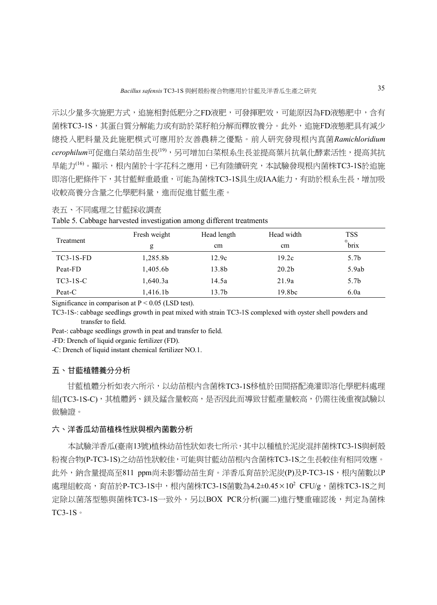示以少量多次施肥方式,追施相對低肥分之FD液肥,可發揮肥效,可能原因為FD液態肥中,含有 菌株TC3-1S,其蛋白質分解能力或有助於菜籽粕分解而釋放養分。此外,追施FD液態肥具有減少 總投入肥料量及此施肥模式可應用於友善農耕之優點。前人研究發現根內真菌*Ramichloridium cerophilum*可促進白菜幼苗生長(19),另可增加白菜根系生長並提高葉片抗氧化酵素活性,提高其抗 旱能力(16)。顯示,根內菌於十字花科之應用,已有陸續研究,本試驗發現根內菌株TC3-1S於追施 即溶化肥條件下,其甘藍鮮重最重,可能為菌株TC3-1S具生成IAA能力,有助於根系生長,增加吸 收較高養分含量之化學肥料量,進而促進甘藍生產。

#### 表五、不同處理之甘藍採收調查

|  | Table 5. Cabbage harvested investigation among different treatments |  |  |
|--|---------------------------------------------------------------------|--|--|
|  |                                                                     |  |  |

| Treatment   | Fresh weight | Head length | Head width         | <b>TSS</b><br>$\circ$ |
|-------------|--------------|-------------|--------------------|-----------------------|
|             | g            | cm          | cm                 | brix                  |
| $TC3-1S-FD$ | 1,285.8b     | 12.9c       | 19.2c              | 5.7 <sub>b</sub>      |
| Peat-FD     | 1,405.6b     | 13.8b       | 20.2 <sub>b</sub>  | 5.9ab                 |
| $TC3-1S-C$  | 1,640.3a     | 14.5a       | 21.9a              | 5.7 <sub>b</sub>      |
| Peat-C      | 1,416.1b     | 13.7b       | 19.8 <sub>bc</sub> | 6.0a                  |

Significance in comparison at  $P \le 0.05$  (LSD test).

TC3-1S-: cabbage seedlings growth in peat mixed with strain TC3-1S complexed with oyster shell powders and transfer to field.

Peat-: cabbage seedlings growth in peat and transfer to field.

-FD: Drench of liquid organic fertilizer (FD).

-C: Drench of liquid instant chemical fertilizer NO.1.

#### 五、甘藍植體養分分析

甘藍植體分析如表六所示,以幼苗根內含菌株TC3-1S移植於田間搭配澆灌即溶化學肥料處理 組(TC3-1S-C),其植體鈣、鎂及錳含量較高,是否因此而導致甘藍產量較高,仍需往後重複試驗以 做驗證。

#### 六、洋香瓜幼苗植株性狀與根內菌數分析

本試驗洋香瓜(臺南13號)植株幼苗性狀如表七所示,其中以種植於泥炭混拌菌株TC3-1S與蚵殼 粉複合物(P-TC3-1S)之幼苗性狀較佳,可能與甘藍幼苗根內含菌株TC3-1S之生長較佳有相同效應。 此外,鈉含量提高至811 ppm尚未影響幼苗生育。洋香瓜育苗於泥炭(P)及P-TC3-1S,根内菌數以P 處理組較高,育苗於P-TC3-1S中,根內菌株TC3-1S菌數為4.2±0.45×10<sup>2</sup> CFU/g,菌株TC3-1S之判 定除以菌落型態與菌株TC3-1S一致外,另以BOX PCR分析(圖二)進行雙重確認後,判定為菌株 TC3-1S。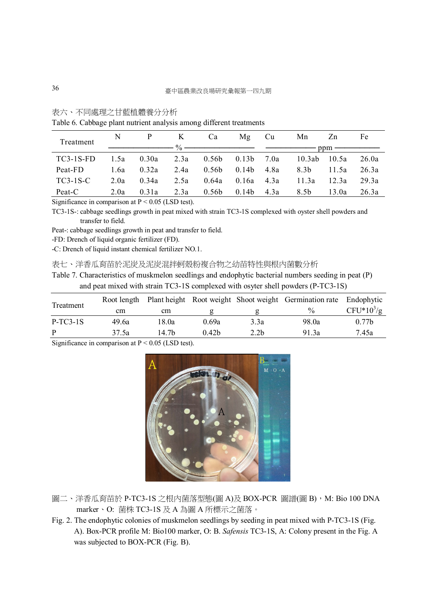| 表六、 |  | 不同處理之甘藍植體養分分析 |
|-----|--|---------------|
|-----|--|---------------|

| Twore of Cwoowing preme meeting energy entrolling entreprene in continuing |      |                |      |                                                                                                                                                                                                                                                                                                                     |                |                |       |                       |       |
|----------------------------------------------------------------------------|------|----------------|------|---------------------------------------------------------------------------------------------------------------------------------------------------------------------------------------------------------------------------------------------------------------------------------------------------------------------|----------------|----------------|-------|-----------------------|-------|
| Treatment                                                                  | N    | P <sub>2</sub> | K    | Ca                                                                                                                                                                                                                                                                                                                  | Mg Cu          |                | Mn    | Zn                    | Fe    |
|                                                                            |      |                |      | $\frac{1}{2}$ $\frac{1}{2}$ $\frac{1}{2}$ $\frac{1}{2}$ $\frac{1}{2}$ $\frac{1}{2}$ $\frac{1}{2}$ $\frac{1}{2}$ $\frac{1}{2}$ $\frac{1}{2}$ $\frac{1}{2}$ $\frac{1}{2}$ $\frac{1}{2}$ $\frac{1}{2}$ $\frac{1}{2}$ $\frac{1}{2}$ $\frac{1}{2}$ $\frac{1}{2}$ $\frac{1}{2}$ $\frac{1}{2}$ $\frac{1}{2}$ $\frac{1}{2}$ |                |                |       | $ppm \longrightarrow$ |       |
|                                                                            |      |                |      |                                                                                                                                                                                                                                                                                                                     |                |                |       |                       |       |
| $TC3-1S-FD$                                                                | 1.5a | 0.30a          |      | 2.3a $0.56b$ $0.13b$ $7.0a$                                                                                                                                                                                                                                                                                         |                |                |       | 10.3ab 10.5a          | 26.0a |
| Peat-FD                                                                    | 1.6a | 0.32a          | 2.4a | 0.56b                                                                                                                                                                                                                                                                                                               |                | $0.14b$ $4.8a$ | 8.3b  | 11.5a                 | 26.3a |
| TC3-1S-C                                                                   | 2.0a | 0.34a          | 2.5a | 0.64a                                                                                                                                                                                                                                                                                                               | $0.16a - 4.3a$ |                | 11.3a | 12.3a                 | 29.3a |
| Peat-C                                                                     | 2.0a | 0.31a          | 2.3a | 0.56b                                                                                                                                                                                                                                                                                                               |                | $0.14b$ $4.3a$ | 8.5b  | 13.0a                 | 26.3a |

Table 6. Cabbage plant nutrient analysis among different treatments

Significance in comparison at  $P < 0.05$  (LSD test).

TC3-1S-: cabbage seedlings growth in peat mixed with strain TC3-1S complexed with oyster shell powders and transfer to field.

Peat-: cabbage seedlings growth in peat and transfer to field.

-FD: Drench of liquid organic fertilizer (FD).

-C: Drench of liquid instant chemical fertilizer NO.1.

#### 表七、洋香瓜育苗於泥炭及泥炭混拌蚵殼粉複合物之幼苗特性與根內菌數分析

Table 7. Characteristics of muskmelon seedlings and endophytic bacterial numbers seeding in peat (P) and peat mixed with strain TC3-1S complexed with osyter shell powders (P-TC3-1S)

| Treatment  | Root length |       |                   |                  | Plant height Root weight Shoot weight Germination rate Endophytic |                   |
|------------|-------------|-------|-------------------|------------------|-------------------------------------------------------------------|-------------------|
|            | cm          | cm    |                   |                  | $\frac{0}{0}$                                                     | $CFU*10^3/g$      |
| $P-TC3-1S$ | 49.6a       | 18.0a | 0.69a             | 3.3a             | 98.0a                                                             | 0.77 <sub>b</sub> |
| P          | 37.5a       | 14 7h | 0.42 <sub>b</sub> | 2.2 <sub>b</sub> | 91.3a                                                             | 7.45a             |
|            |             |       |                   |                  |                                                                   |                   |

Significance in comparison at  $P \le 0.05$  (LSD test).



- 圖二、洋香瓜育苗於 P-TC3-1S 之根内菌落型態(圖 A)及 BOX-PCR 圖譜(圖 B),M: Bio 100 DNA marker、O: 菌株 TC3-1S 及 A 為圖 A 所標示之菌落。
- Fig. 2. The endophytic colonies of muskmelon seedlings by seeding in peat mixed with P-TC3-1S (Fig. A). Box-PCR profile M: Bio100 marker, O: B. *Safensis* TC3-1S, A: Colony present in the Fig. A was subjected to BOX-PCR (Fig. B).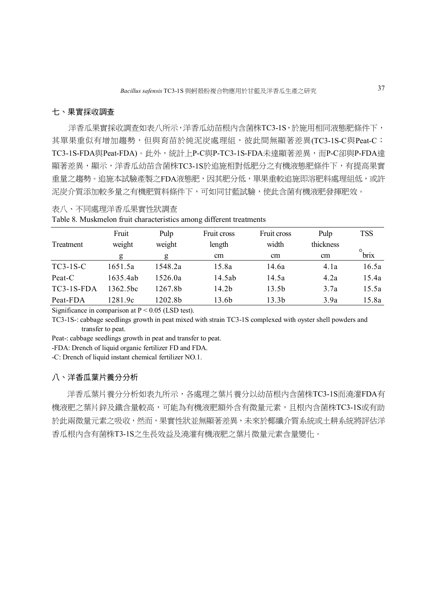#### 七、果實採收調查

洋香瓜果實採收調查如表八所示,洋香瓜幼苗根内含菌株TC3-1S,於施用相同液態肥條件下, 其單果重似有增加趨勢,但與育苗於純泥炭處理組,彼此間無顯著差異(TC3-1S-C與Peat-C; TC3-1S-FDA與Peat-FDA)。此外,統計上P-C與P-TC3-1S-FDA未達顯著差異,而P-C卻與P-FDA達 顯著差異,顯示,洋香瓜幼苗含菌株TC3-1S於追施相對低肥分之有機液態肥條件下,有提高果實 重量之趨勢。追施本試驗產製之FDA液態肥,因其肥分低,單果重較追施即溶肥料處理組低,或許 泥炭介質添加較多量之有機肥質料條件下,可如同甘藍試驗,使此含菌有機液肥發揮肥效。

#### 表八、不同處理洋香瓜果實性狀調查

|  |  | Table 8. Muskmelon fruit characteristics among different treatments |
|--|--|---------------------------------------------------------------------|
|  |  |                                                                     |

|              | Fruit                | Pulp                | Fruit cross | Fruit cross       | Pulp      | <b>TSS</b>      |
|--------------|----------------------|---------------------|-------------|-------------------|-----------|-----------------|
| Treatment    | weight               | weight              | length      | width             | thickness |                 |
|              | g                    | g                   | cm          | cm                | cm        | $\circ$<br>brix |
| $TC3-1S-C$   | 1651.5a              | 1548.2a             | 15.8a       | 14.6a             | 4.1a      | 16.5a           |
| Peat-C       | 1635.4ab             | 1526.0a             | 14.5ab      | 14.5a             | 4.2a      | 15.4a           |
| $TC3-1S-FDA$ | 1362.5 <sub>hc</sub> | 1267.8b             | 14.2b       | 13.5b             | 3.7a      | 15.5a           |
| Peat-FDA     | 1281.9c              | 1202.8 <sub>b</sub> | 13.6b       | 13.3 <sub>b</sub> | 3.9a      | 15.8a           |

Significance in comparison at  $P \le 0.05$  (LSD test).

TC3-1S-: cabbage seedlings growth in peat mixed with strain TC3-1S complexed with oyster shell powders and transfer to peat.

Peat-: cabbage seedlings growth in peat and transfer to peat.

-FDA: Drench of liquid organic fertilizer FD and FDA.

-C: Drench of liquid instant chemical fertilizer NO.1.

#### 八、洋香瓜葉片養分分析

洋香瓜葉片養分分析如表九所示,各處理之葉片養分以幼苗根内含菌株TC3-1S而澆灌FDA有 機液肥之葉片鋅及鐵含量較高,可能為有機液肥額外含有微量元素,且根內含菌株TC3-1S或有助 於此兩微量元素之吸收,然而,果實性狀並無顯著差異,未來於椰纖介質系統或土耕系統將評估洋 香瓜根內含有菌株T3-1S之生長效益及澆灌有機液肥之葉片微量元素含量變化。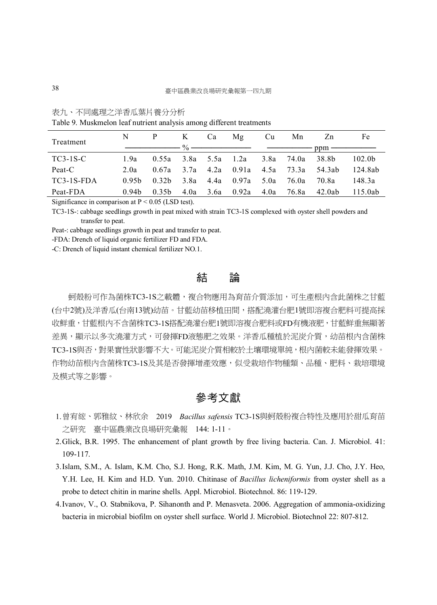|  | 表九 | 不同處理之洋香瓜葉片養分分析 |  |
|--|----|----------------|--|
|--|----|----------------|--|

Table 9. Muskmelon leaf nutrient analysis among different treatments

| Treatment    |                   | P K                           |      | Ca | Mg Cu                 |  | Mn                                                  | Zn     | Fe                 |  |
|--------------|-------------------|-------------------------------|------|----|-----------------------|--|-----------------------------------------------------|--------|--------------------|--|
|              |                   |                               |      |    |                       |  |                                                     |        |                    |  |
| TC3-1S-C     | 1.9a              |                               |      |    |                       |  | $0.55a$ $3.8a$ $5.5a$ $1.2a$ $3.8a$ $74.0a$ $38.8b$ |        | 102.0 <sub>b</sub> |  |
| Peat-C       | 2.0a              | $0.67a$ $3.7a$ $4.2a$ $0.91a$ |      |    |                       |  | 4.5a 73.3a 54.3ab                                   |        | - 124 8ab          |  |
| $TC3-1S-FDA$ | 0.95 <sub>b</sub> | 0.32 <sub>b</sub>             |      |    |                       |  | 3.8a 4.4a 0.97a 5.0a 76.0a 70.8a                    |        | 148.3a             |  |
| Peat-FDA     | 0.94 <sub>b</sub> | 0.35 <sub>b</sub>             | 4.0a |    | 3.6a 0.92a 4.0a 76.8a |  |                                                     | 42.0ab | 115.0ab            |  |

Significance in comparison at  $P \le 0.05$  (LSD test).

TC3-1S-: cabbage seedlings growth in peat mixed with strain TC3-1S complexed with oyster shell powders and transfer to peat.

Peat-: cabbage seedlings growth in peat and transfer to peat.

-FDA: Drench of liquid organic fertilizer FD and FDA.

-C: Drench of liquid instant chemical fertilizer NO.1.

## 結 論

蚵殼粉可作為菌株TC3-1S之載體,複合物應用為育苗介質添加,可生產根內含此菌株之甘藍 (台中2號)及洋香瓜(台南13號)幼苗。甘藍幼苗移植田間,搭配澆灌台肥1號即溶複合肥料可提高採 收鮮重,甘藍根內不含菌株TC3-1S搭配澆灌台肥1號即溶複合肥料或FD有機液肥,甘藍鮮重無顯著 差異,顯示以多次澆灌方式,可發揮FD液態肥之效果。洋香瓜種植於泥炭介質,幼苗根内含菌株 TC3-1S與否,對果實性狀影響不大。可能泥炭介質相較於土壤環境單純,根內菌較未能發揮效果。 作物幼苗根內含菌株TC3-1S及其是否發揮增產效應,似受栽培作物種類、品種、肥料、栽培環境 及模式等之影響。

## 參考文獻

- 1.曾宥綋、郭雅紋、林欣余 2019 *Bacillus safensis* TC3-1S與蚵殼粉複合特性及應用於甜瓜育苗 之研究 臺中區農業改良場研究彙報 144: 1-11。
- 2.Glick, B.R. 1995. The enhancement of plant growth by free living bacteria. Can. J. Microbiol. 41: 109-117.
- 3.Islam, S.M., A. Islam, K.M. Cho, S.J. Hong, R.K. Math, J.M. Kim, M. G. Yun, J.J. Cho, J.Y. Heo, Y.H. Lee, H. Kim and H.D. Yun. 2010. Chitinase of *Bacillus licheniformis* from oyster shell as a probe to detect chitin in marine shells. Appl. Microbiol. Biotechnol. 86: 119-129.
- 4.Ivanov, V., O. Stabnikova, P. Sihanonth and P. Menasveta. 2006. Aggregation of ammonia-oxidizing bacteria in microbial biofilm on oyster shell surface. World J. Microbiol. Biotechnol 22: 807-812.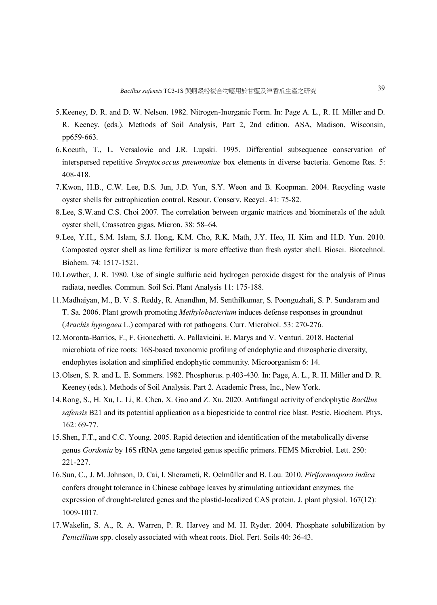- 5.Keeney, D. R. and D. W. Nelson. 1982. Nitrogen-Inorganic Form. In: Page A. L., R. H. Miller and D. R. Keeney. (eds.). Methods of Soil Analysis, Part 2, 2nd edition. ASA, Madison, Wisconsin, pp659-663.
- 6.Koeuth, T., L. Versalovic and J.R. Lupski. 1995. Differential subsequence conservation of interspersed repetitive *Streptococcus pneumoniae* box elements in diverse bacteria. Genome Res. 5: 408-418.
- 7.Kwon, H.B., C.W. Lee, B.S. Jun, J.D. Yun, S.Y. Weon and B. Koopman. 2004. Recycling waste oyster shells for eutrophication control. Resour. Conserv. Recycl. 41: 75-82.
- 8.Lee, S.W.and C.S. Choi 2007. The correlation between organic matrices and biominerals of the adult oyster shell, Crassotrea gigas. Micron. 38: 58–64.
- 9.Lee, Y.H., S.M. Islam, S.J. Hong, K.M. Cho, R.K. Math, J.Y. Heo, H. Kim and H.D. Yun. 2010. Composted oyster shell as lime fertilizer is more effective than fresh oyster shell. Biosci. Biotechnol. Biohem. 74: 1517-1521.
- 10.Lowther, J. R. 1980. Use of single sulfuric acid hydrogen peroxide disgest for the analysis of Pinus radiata, needles. Commun. Soil Sci. Plant Analysis 11: 175-188.
- 11.Madhaiyan, M., B. V. S. Reddy, R. Anandhm, M. Senthilkumar, S. Poonguzhali, S. P. Sundaram and T. Sa. 2006. Plant growth promoting *Methylobacterium* induces defense responses in groundnut (*Arachis hypogaea* L.) compared with rot pathogens. Curr. Microbiol. 53: 270-276.
- 12.Moronta-Barrios, F., F. Gionechetti, A. Pallavicini, E. Marys and V. Venturi. 2018. Bacterial microbiota of rice roots: 16S-based taxonomic profiling of endophytic and rhizospheric diversity, endophytes isolation and simplified endophytic community. Microorganism 6: 14.
- 13.Olsen, S. R. and L. E. Sommers. 1982. Phosphorus. p.403-430. In: Page, A. L., R. H. Miller and D. R. Keeney (eds.). Methods of Soil Analysis. Part 2. Academic Press, Inc., New York.
- 14.Rong, S., H. Xu, L. Li, R. Chen, X. Gao and Z. Xu. 2020. Antifungal activity of endophytic *Bacillus safensis* B21 and its potential application as a biopesticide to control rice blast. Pestic. Biochem. Phys. 162: 69-77.
- 15.Shen, F.T., and C.C. Young. 2005. Rapid detection and identification of the metabolically diverse genus *Gordonia* by 16S rRNA gene targeted genus specific primers. FEMS Microbiol. Lett. 250: 221-227.
- 16.Sun, C., J. M. Johnson, D. Cai, I. Sherameti, R. Oelmüller and B. Lou. 2010. *Piriformospora indica* confers drought tolerance in Chinese cabbage leaves by stimulating antioxidant enzymes, the expression of drought-related genes and the plastid-localized CAS protein. J. plant physiol. 167(12): 1009-1017.
- 17.Wakelin, S. A., R. A. Warren, P. R. Harvey and M. H. Ryder. 2004. Phosphate solubilization by *Penicillium* spp. closely associated with wheat roots. Biol. Fert. Soils 40: 36-43.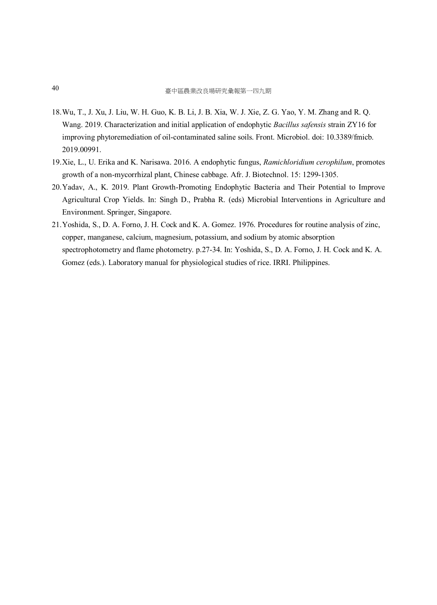- 18.Wu, T., J. Xu, J. Liu, W. H. Guo, K. B. Li, J. B. Xia, W. J. Xie, Z. G. Yao, Y. M. Zhang and R. Q. Wang. 2019. Characterization and initial application of endophytic *Bacillus safensis* strain ZY16 for improving phytoremediation of oil-contaminated saline soils. Front. Microbiol. doi: 10.3389/fmicb. 2019.00991.
- 19.Xie, L., U. Erika and K. Narisawa. 2016. A endophytic fungus, *Ramichloridium cerophilum*, promotes growth of a non-mycorrhizal plant, Chinese cabbage. Afr. J. Biotechnol. 15: 1299-1305.
- 20.Yadav, A., K. 2019. Plant Growth-Promoting Endophytic Bacteria and Their Potential to Improve Agricultural Crop Yields. In: Singh D., Prabha R. (eds) Microbial Interventions in Agriculture and Environment. Springer, Singapore.
- 21.Yoshida, S., D. A. Forno, J. H. Cock and K. A. Gomez. 1976. Procedures for routine analysis of zinc, copper, manganese, calcium, magnesium, potassium, and sodium by atomic absorption spectrophotometry and flame photometry. p.27-34. In: Yoshida, S., D. A. Forno, J. H. Cock and K. A. Gomez (eds.). Laboratory manual for physiological studies of rice. IRRI. Philippines.